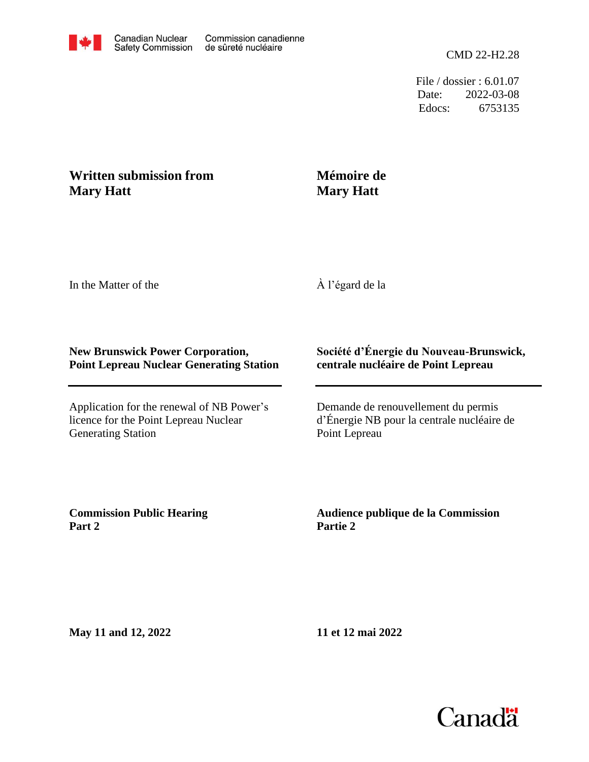

File / dossier : 6.01.07 Date: 2022-03-08 Edocs: 6753135

## **Written submission from Mary Hatt**

## **Mémoire de Mary Hatt**

In the Matter of the

À l'égard de la

## **New Brunswick Power Corporation, Point Lepreau Nuclear Generating Station**

Application for the renewal of NB Power's licence for the Point Lepreau Nuclear Generating Station

## **Société d'Énergie du Nouveau-Brunswick, centrale nucléaire de Point Lepreau**

Demande de renouvellement du permis d'Énergie NB pour la centrale nucléaire de Point Lepreau

**Commission Public Hearing Part 2**

**Audience publique de la Commission Partie 2**

**May 11 and 12, 2022**

**11 et 12 mai 2022**